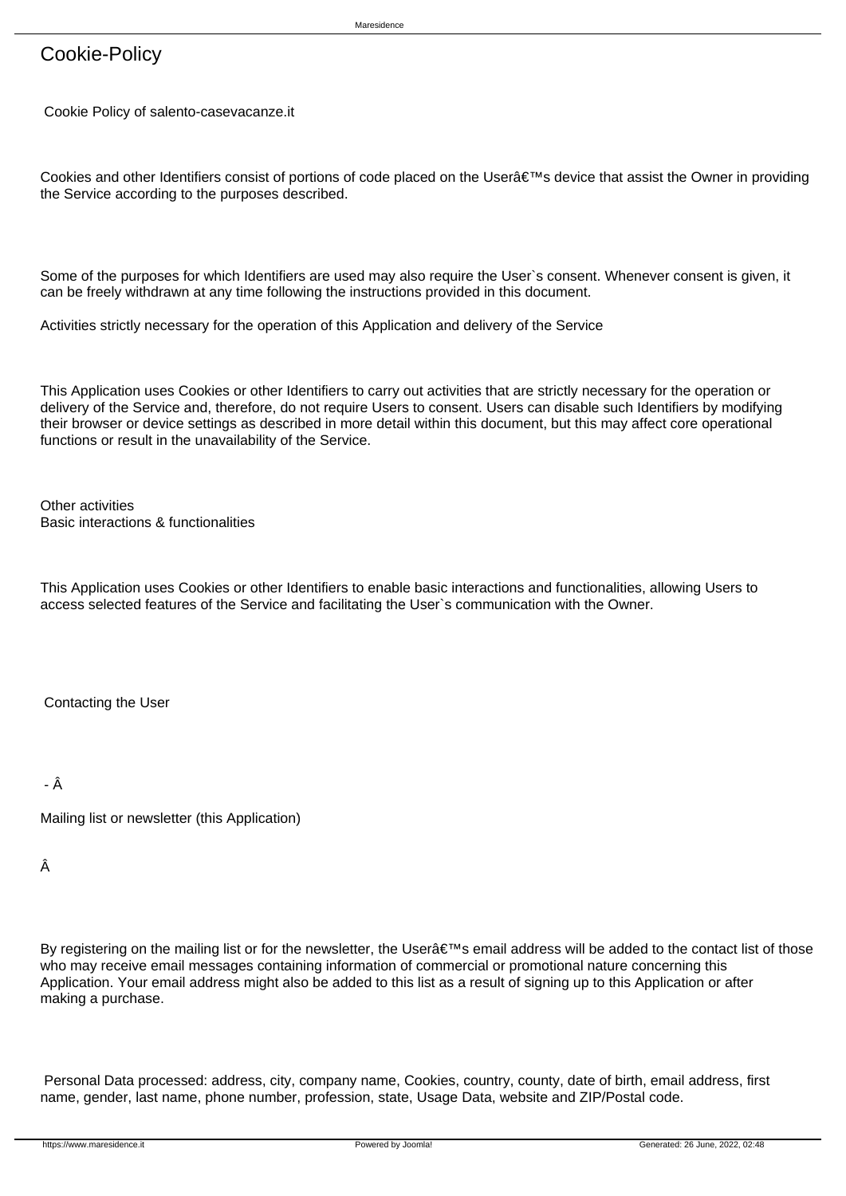# Cookie-Policy

Cookie Policy of salento-casevacanze.it

Cookies and other Identifiers consist of portions of code placed on the Usera €™s device that assist the Owner in providing the Service according to the purposes described.

Some of the purposes for which Identifiers are used may also require the User`s consent. Whenever consent is given, it can be freely withdrawn at any time following the instructions provided in this document.

Activities strictly necessary for the operation of this Application and delivery of the Service

This Application uses Cookies or other Identifiers to carry out activities that are strictly necessary for the operation or delivery of the Service and, therefore, do not require Users to consent. Users can disable such Identifiers by modifying their browser or device settings as described in more detail within this document, but this may affect core operational functions or result in the unavailability of the Service.

Other activities Basic interactions & functionalities

This Application uses Cookies or other Identifiers to enable basic interactions and functionalities, allowing Users to access selected features of the Service and facilitating the User`s communication with the Owner.

 Contacting the User

- Â

 Mailing list or newsletter (this Application)

 Â

By registering on the mailing list or for the newsletter, the User $\hat{\mathbf{a}} \in \mathbb{R}^n$  email address will be added to the contact list of those who may receive email messages containing information of commercial or promotional nature concerning this Application. Your email address might also be added to this list as a result of signing up to this Application or after making a purchase.

 Personal Data processed: address, city, company name, Cookies, country, county, date of birth, email address, first name, gender, last name, phone number, profession, state, Usage Data, website and ZIP/Postal code.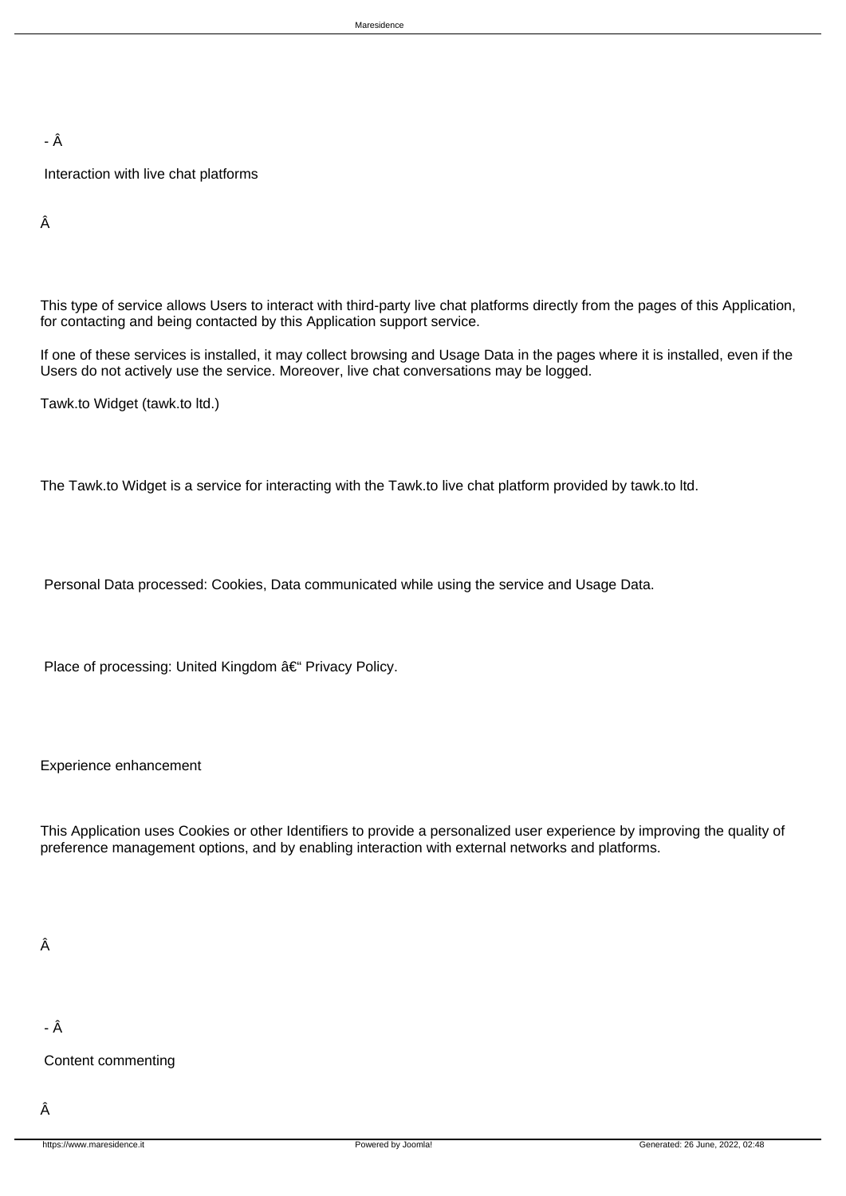- Â

 Interaction with live chat platforms

 Â

 This type of service allows Users to interact with third-party live chat platforms directly from the pages of this Application, for contacting and being contacted by this Application support service.

 If one of these services is installed, it may collect browsing and Usage Data in the pages where it is installed, even if the Users do not actively use the service. Moreover, live chat conversations may be logged.

 Tawk.to Widget (tawk.to ltd.)

 The Tawk.to Widget is a service for interacting with the Tawk.to live chat platform provided by tawk.to ltd.

 Personal Data processed: Cookies, Data communicated while using the service and Usage Data.

Place of processing: United Kingdom – Privacy Policy.

Experience enhancement

This Application uses Cookies or other Identifiers to provide a personalized user experience by improving the quality of preference management options, and by enabling interaction with external networks and platforms.

## Â

- Â

 Content commenting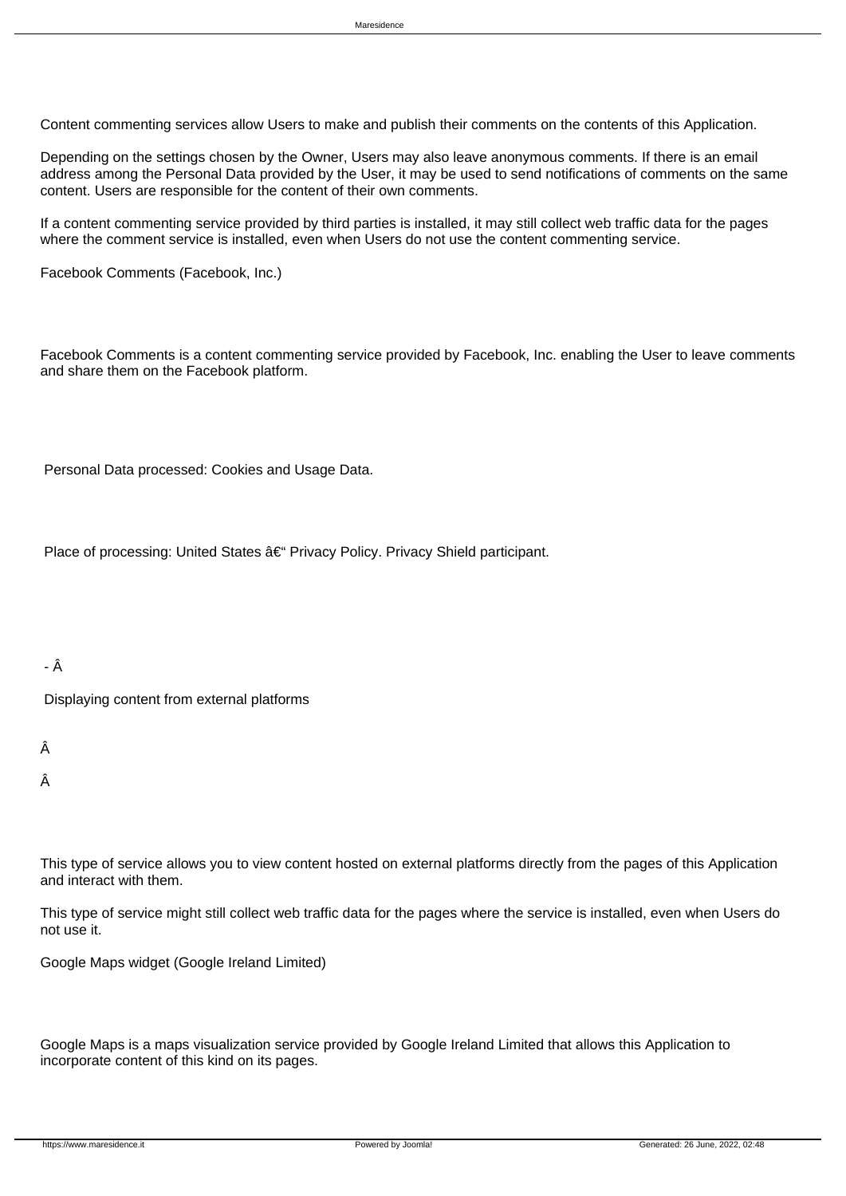Content commenting services allow Users to make and publish their comments on the contents of this Application.

 Depending on the settings chosen by the Owner, Users may also leave anonymous comments. If there is an email address among the Personal Data provided by the User, it may be used to send notifications of comments on the same content. Users are responsible for the content of their own comments.

 If a content commenting service provided by third parties is installed, it may still collect web traffic data for the pages where the comment service is installed, even when Users do not use the content commenting service.

 Facebook Comments (Facebook, Inc.)

 Facebook Comments is a content commenting service provided by Facebook, Inc. enabling the User to leave comments and share them on the Facebook platform.

 Personal Data processed: Cookies and Usage Data.

Place of processing: United States â€" Privacy Policy. Privacy Shield participant.

- Â

 Displaying content from external platforms

 Â

 Â

 This type of service allows you to view content hosted on external platforms directly from the pages of this Application and interact with them.

 This type of service might still collect web traffic data for the pages where the service is installed, even when Users do not use it.

 Google Maps widget (Google Ireland Limited)

 Google Maps is a maps visualization service provided by Google Ireland Limited that allows this Application to incorporate content of this kind on its pages.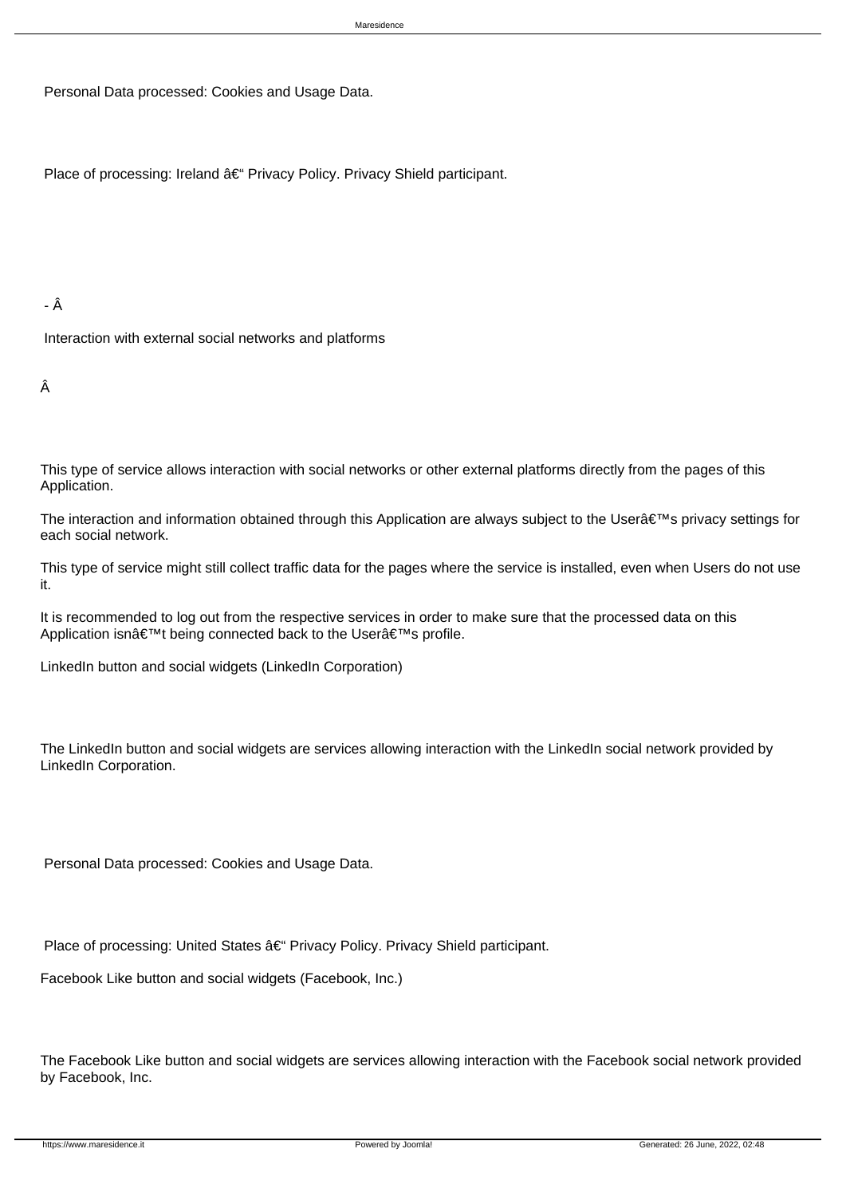Personal Data processed: Cookies and Usage Data.

Place of processing: Ireland â€" Privacy Policy. Privacy Shield participant.

#### - Â

 Interaction with external social networks and platforms

#### Â

 This type of service allows interaction with social networks or other external platforms directly from the pages of this Application.

The interaction and information obtained through this Application are always subject to the User's privacy settings for each social network.

 This type of service might still collect traffic data for the pages where the service is installed, even when Users do not use it.

 It is recommended to log out from the respective services in order to make sure that the processed data on this Application isn't being connected back to the User's profile.

 LinkedIn button and social widgets (LinkedIn Corporation)

The LinkedIn button and social widgets are services allowing interaction with the LinkedIn social network provided by LinkedIn Corporation.

 Personal Data processed: Cookies and Usage Data.

Place of processing: United States â€" Privacy Policy. Privacy Shield participant.

 Facebook Like button and social widgets (Facebook, Inc.)

 The Facebook Like button and social widgets are services allowing interaction with the Facebook social network provided by Facebook, Inc.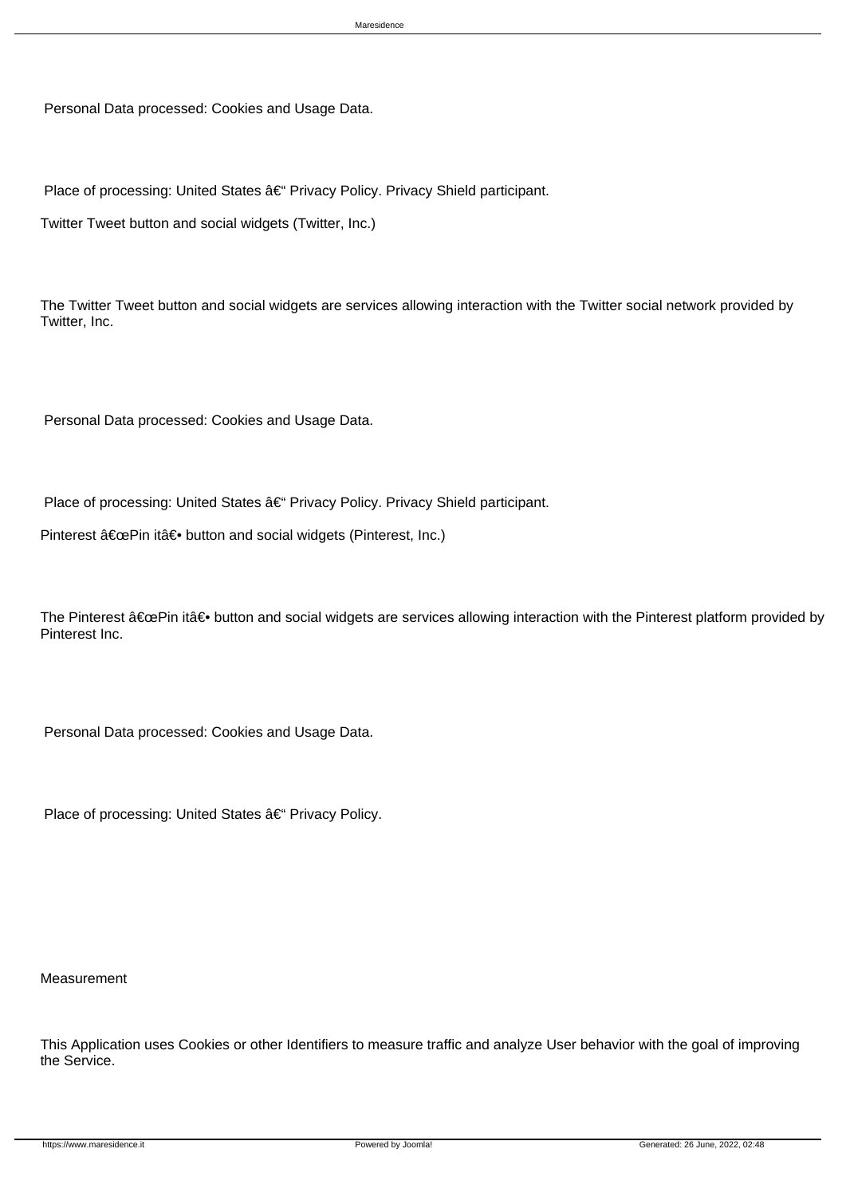Personal Data processed: Cookies and Usage Data.

Place of processing: United States â€" Privacy Policy. Privacy Shield participant.

 Twitter Tweet button and social widgets (Twitter, Inc.)

 The Twitter Tweet button and social widgets are services allowing interaction with the Twitter social network provided by Twitter, Inc.

 Personal Data processed: Cookies and Usage Data.

Place of processing: United States – Privacy Policy. Privacy Shield participant.

Pinterest "Pin it― button and social widgets (Pinterest, Inc.)

The Pinterest  $â€ceP$ in it― button and social widgets are services allowing interaction with the Pinterest platform provided by Pinterest Inc.

 Personal Data processed: Cookies and Usage Data.

Place of processing: United States – Privacy Policy.

 Measurement

 This Application uses Cookies or other Identifiers to measure traffic and analyze User behavior with the goal of improving the Service.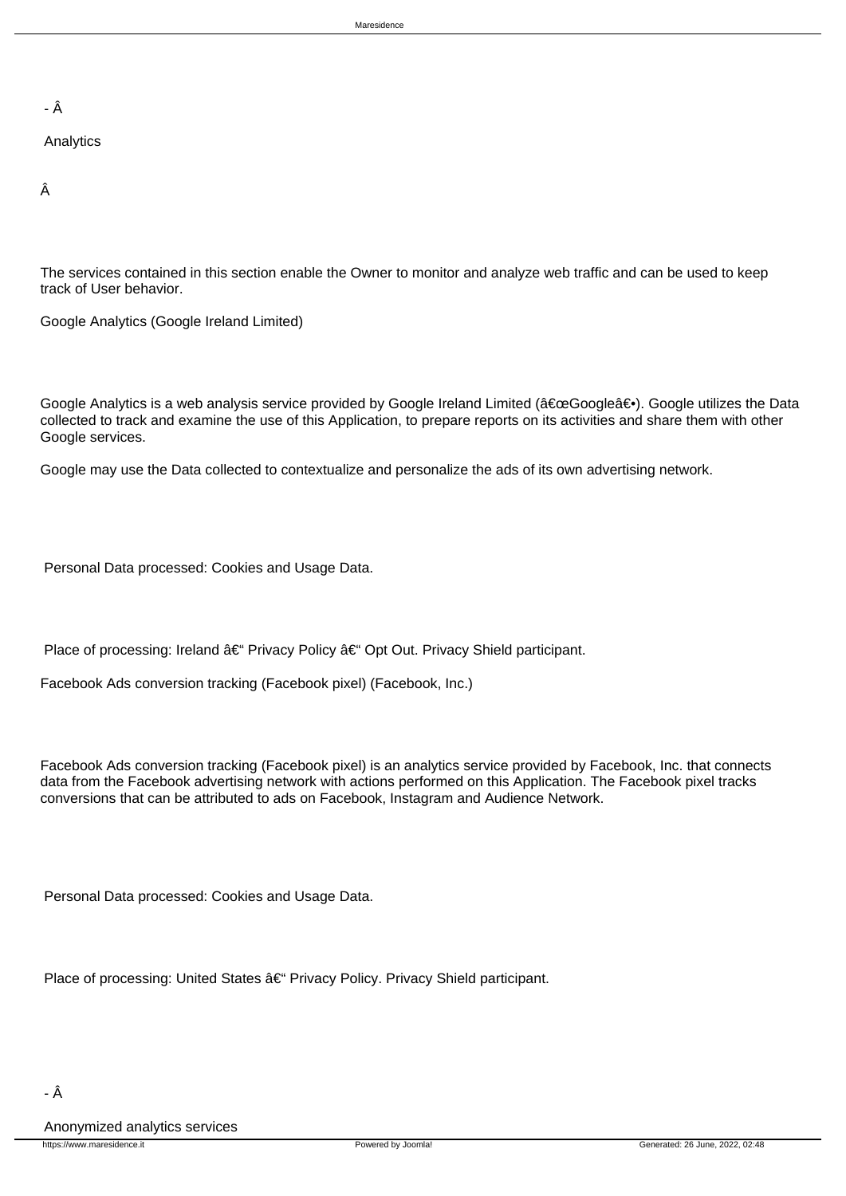- Â

#### Analytics

 Â

 The services contained in this section enable the Owner to monitor and analyze web traffic and can be used to keep track of User behavior.

 Google Analytics (Google Ireland Limited)

Google Analytics is a web analysis service provided by Google Ireland Limited ("Google―). Google utilizes the Data collected to track and examine the use of this Application, to prepare reports on its activities and share them with other Google services.

 Google may use the Data collected to contextualize and personalize the ads of its own advertising network.

 Personal Data processed: Cookies and Usage Data.

Place of processing: Ireland  $\hat{a} \in \hat{B}^*$  Privacy Policy  $\hat{a} \in \hat{B}^*$  Opt Out. Privacy Shield participant.

 Facebook Ads conversion tracking (Facebook pixel) (Facebook, Inc.)

 Facebook Ads conversion tracking (Facebook pixel) is an analytics service provided by Facebook, Inc. that connects data from the Facebook advertising network with actions performed on this Application. The Facebook pixel tracks conversions that can be attributed to ads on Facebook, Instagram and Audience Network.

 Personal Data processed: Cookies and Usage Data.

Place of processing: United States – Privacy Policy. Privacy Shield participant.

 Anonymized analytics services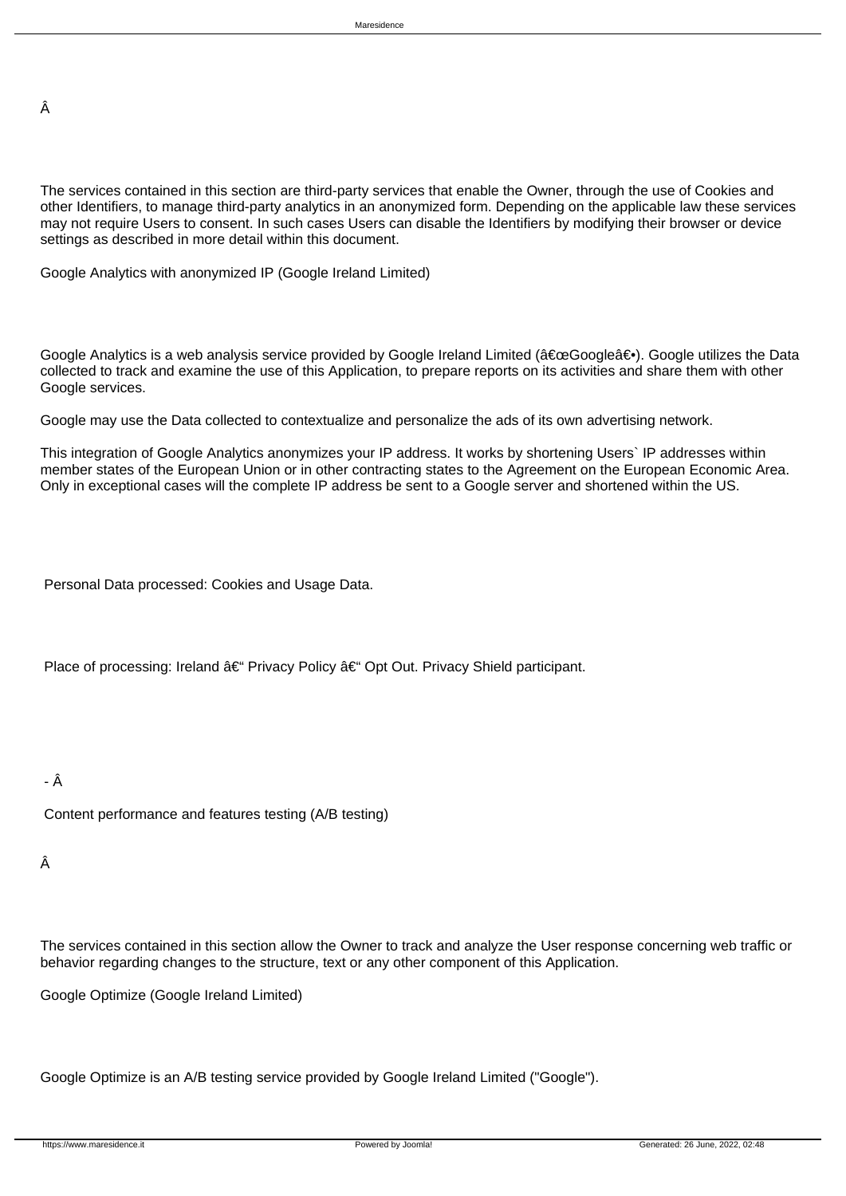Â

 The services contained in this section are third-party services that enable the Owner, through the use of Cookies and other Identifiers, to manage third-party analytics in an anonymized form. Depending on the applicable law these services may not require Users to consent. In such cases Users can disable the Identifiers by modifying their browser or device settings as described in more detail within this document.

 Google Analytics with anonymized IP (Google Ireland Limited)

Google Analytics is a web analysis service provided by Google Ireland Limited ("Google―). Google utilizes the Data collected to track and examine the use of this Application, to prepare reports on its activities and share them with other Google services.

 Google may use the Data collected to contextualize and personalize the ads of its own advertising network.

 This integration of Google Analytics anonymizes your IP address. It works by shortening Users` IP addresses within member states of the European Union or in other contracting states to the Agreement on the European Economic Area. Only in exceptional cases will the complete IP address be sent to a Google server and shortened within the US.

 Personal Data processed: Cookies and Usage Data.

Place of processing: Ireland â€" Privacy Policy â€" Opt Out. Privacy Shield participant.

- Â

 Content performance and features testing (A/B testing)

 Â

 The services contained in this section allow the Owner to track and analyze the User response concerning web traffic or behavior regarding changes to the structure, text or any other component of this Application.

 Google Optimize (Google Ireland Limited)

 Google Optimize is an A/B testing service provided by Google Ireland Limited ("Google").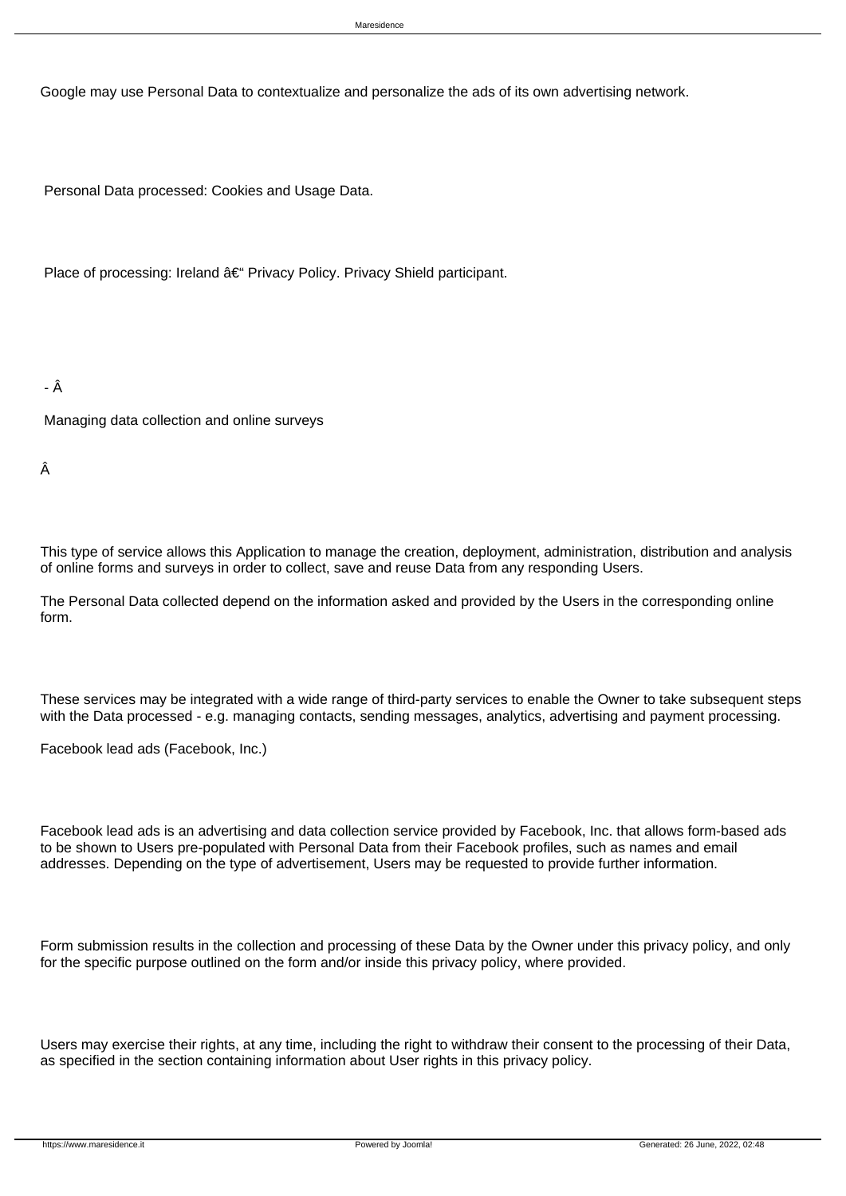Google may use Personal Data to contextualize and personalize the ads of its own advertising network.

 Personal Data processed: Cookies and Usage Data.

Place of processing: Ireland â€" Privacy Policy. Privacy Shield participant.

- Â

 Managing data collection and online surveys

 Â

 This type of service allows this Application to manage the creation, deployment, administration, distribution and analysis of online forms and surveys in order to collect, save and reuse Data from any responding Users.

 The Personal Data collected depend on the information asked and provided by the Users in the corresponding online form.

 These services may be integrated with a wide range of third-party services to enable the Owner to take subsequent steps with the Data processed - e.g. managing contacts, sending messages, analytics, advertising and payment processing.

 Facebook lead ads (Facebook, Inc.)

 Facebook lead ads is an advertising and data collection service provided by Facebook, Inc. that allows form-based ads to be shown to Users pre-populated with Personal Data from their Facebook profiles, such as names and email addresses. Depending on the type of advertisement, Users may be requested to provide further information.

 Form submission results in the collection and processing of these Data by the Owner under this privacy policy, and only for the specific purpose outlined on the form and/or inside this privacy policy, where provided.

 Users may exercise their rights, at any time, including the right to withdraw their consent to the processing of their Data, as specified in the section containing information about User rights in this privacy policy.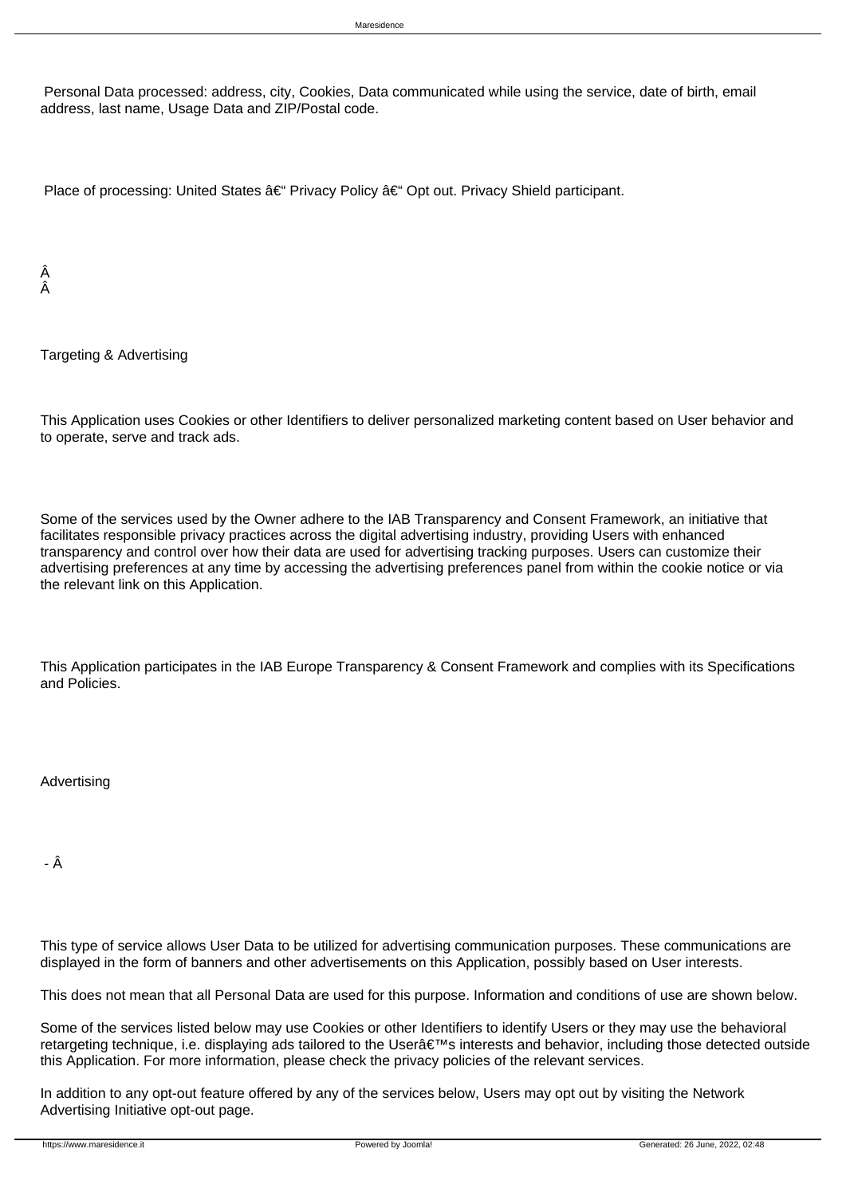Personal Data processed: address, city, Cookies, Data communicated while using the service, date of birth, email address, last name, Usage Data and ZIP/Postal code.

Place of processing: United States  $\hat{a} \in \hat{B}^*$  Privacy Policy  $\hat{a} \in \hat{B}^*$  Opt out. Privacy Shield participant.

 Â Â

Targeting & Advertising

This Application uses Cookies or other Identifiers to deliver personalized marketing content based on User behavior and to operate, serve and track ads.

Some of the services used by the Owner adhere to the IAB Transparency and Consent Framework, an initiative that facilitates responsible privacy practices across the digital advertising industry, providing Users with enhanced transparency and control over how their data are used for advertising tracking purposes. Users can customize their advertising preferences at any time by accessing the advertising preferences panel from within the cookie notice or via the relevant link on this Application.

This Application participates in the IAB Europe Transparency & Consent Framework and complies with its Specifications and Policies.

 Advertising

- Â

 This type of service allows User Data to be utilized for advertising communication purposes. These communications are displayed in the form of banners and other advertisements on this Application, possibly based on User interests.

 This does not mean that all Personal Data are used for this purpose. Information and conditions of use are shown below.

 Some of the services listed below may use Cookies or other Identifiers to identify Users or they may use the behavioral retargeting technique, i.e. displaying ads tailored to the User's interests and behavior, including those detected outside this Application. For more information, please check the privacy policies of the relevant services.

 In addition to any opt-out feature offered by any of the services below, Users may opt out by visiting the Network Advertising Initiative opt-out page.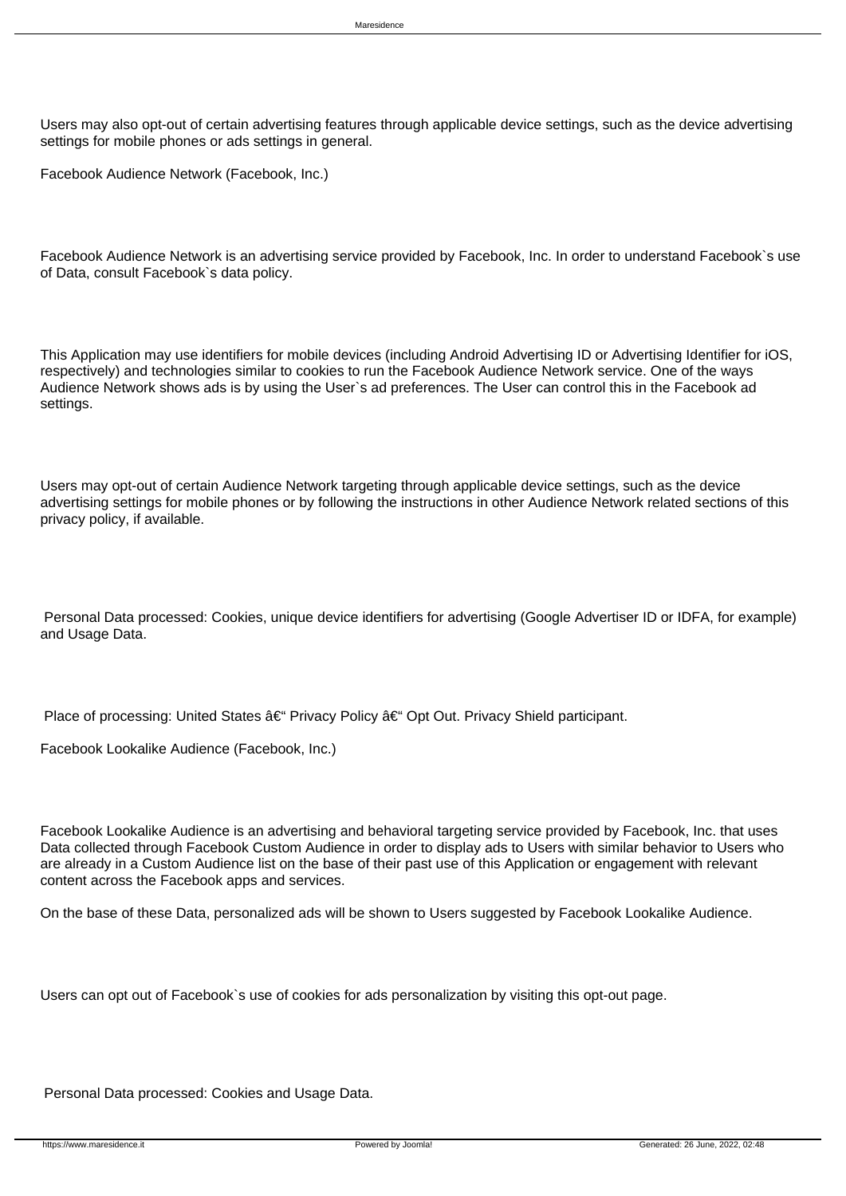Users may also opt-out of certain advertising features through applicable device settings, such as the device advertising settings for mobile phones or ads settings in general.

 Facebook Audience Network (Facebook, Inc.)

 Facebook Audience Network is an advertising service provided by Facebook, Inc. In order to understand Facebook`s use of Data, consult Facebook`s data policy.

 This Application may use identifiers for mobile devices (including Android Advertising ID or Advertising Identifier for iOS, respectively) and technologies similar to cookies to run the Facebook Audience Network service. One of the ways Audience Network shows ads is by using the User`s ad preferences. The User can control this in the Facebook ad settings.

 Users may opt-out of certain Audience Network targeting through applicable device settings, such as the device advertising settings for mobile phones or by following the instructions in other Audience Network related sections of this privacy policy, if available.

 Personal Data processed: Cookies, unique device identifiers for advertising (Google Advertiser ID or IDFA, for example) and Usage Data.

Place of processing: United States  $\hat{a} \in \hat{B}$  Privacy Policy  $\hat{a} \in \hat{B}$  Opt Out. Privacy Shield participant.

 Facebook Lookalike Audience (Facebook, Inc.)

 Facebook Lookalike Audience is an advertising and behavioral targeting service provided by Facebook, Inc. that uses Data collected through Facebook Custom Audience in order to display ads to Users with similar behavior to Users who are already in a Custom Audience list on the base of their past use of this Application or engagement with relevant content across the Facebook apps and services.

 On the base of these Data, personalized ads will be shown to Users suggested by Facebook Lookalike Audience.

 Users can opt out of Facebook`s use of cookies for ads personalization by visiting this opt-out page.

 Personal Data processed: Cookies and Usage Data.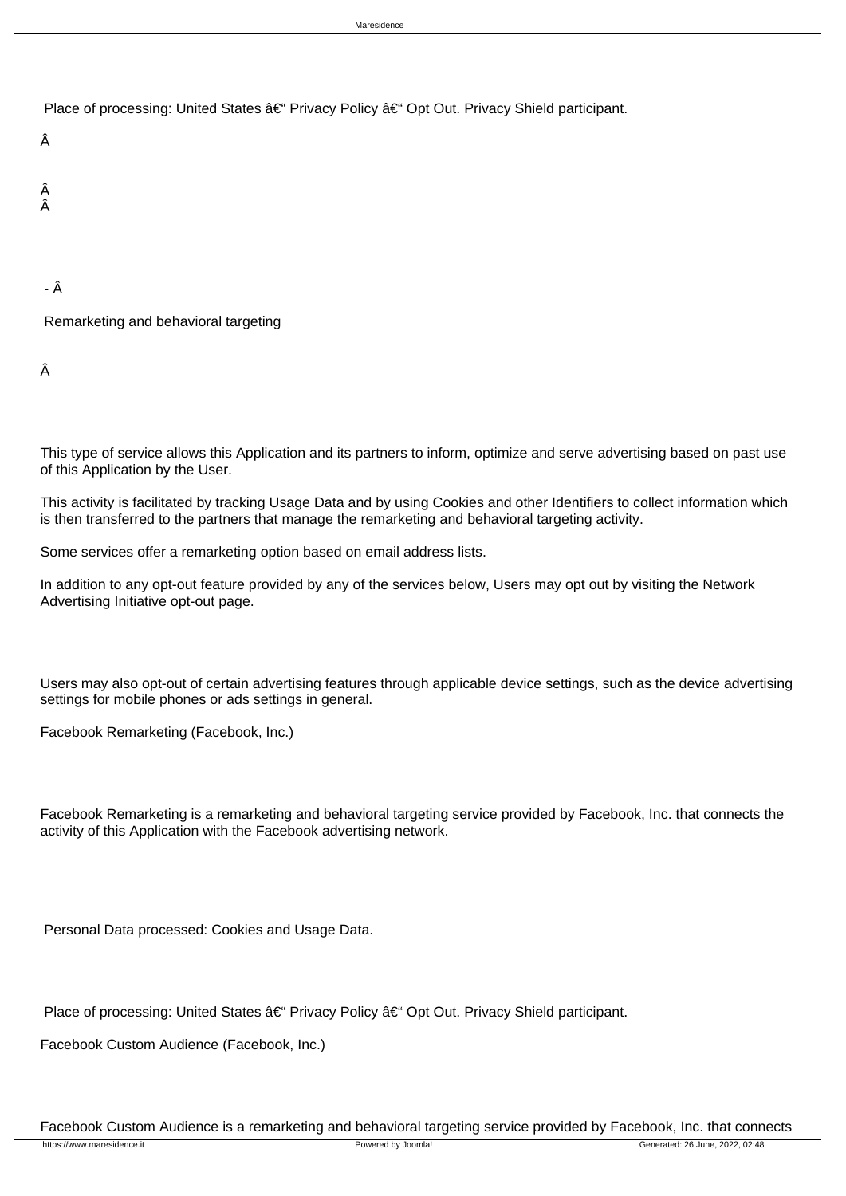Place of processing: United States â€" Privacy Policy â€" Opt Out. Privacy Shield participant.

 Â

 Â Â

### - Â

 Remarketing and behavioral targeting

 Â

 This type of service allows this Application and its partners to inform, optimize and serve advertising based on past use of this Application by the User.

 This activity is facilitated by tracking Usage Data and by using Cookies and other Identifiers to collect information which is then transferred to the partners that manage the remarketing and behavioral targeting activity.

 Some services offer a remarketing option based on email address lists.

 In addition to any opt-out feature provided by any of the services below, Users may opt out by visiting the Network Advertising Initiative opt-out page.

 Users may also opt-out of certain advertising features through applicable device settings, such as the device advertising settings for mobile phones or ads settings in general.

 Facebook Remarketing (Facebook, Inc.)

 Facebook Remarketing is a remarketing and behavioral targeting service provided by Facebook, Inc. that connects the activity of this Application with the Facebook advertising network.

 Personal Data processed: Cookies and Usage Data.

Place of processing: United States  $\hat{a} \in \hat{B}$  Privacy Policy  $\hat{a} \in \hat{B}$  Opt Out. Privacy Shield participant.

 Facebook Custom Audience (Facebook, Inc.)

 Facebook Custom Audience is a remarketing and behavioral targeting service provided by Facebook, Inc. that connects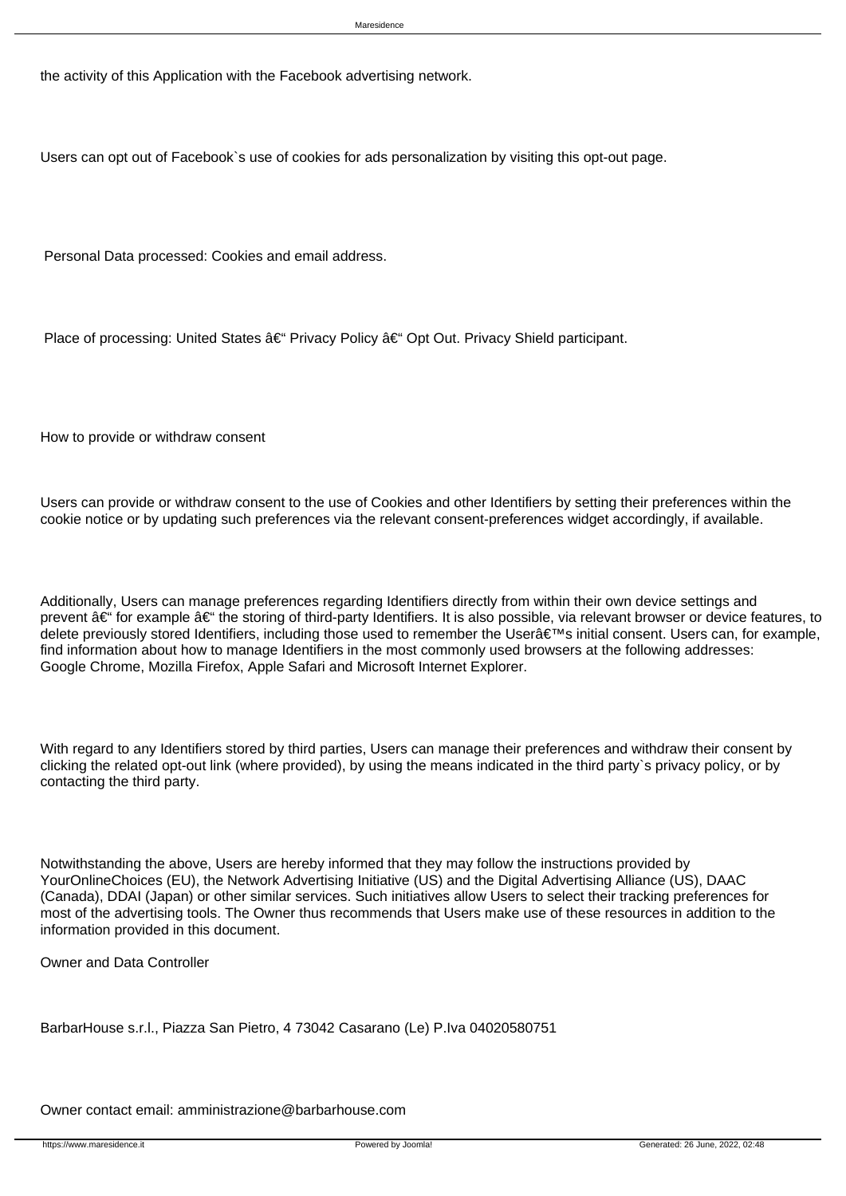the activity of this Application with the Facebook advertising network.

 Users can opt out of Facebook`s use of cookies for ads personalization by visiting this opt-out page.

 Personal Data processed: Cookies and email address.

Place of processing: United States  $\hat{a} \in \hat{H}$  Privacy Policy  $\hat{a} \in \hat{H}$  Opt Out. Privacy Shield participant.

How to provide or withdraw consent

Users can provide or withdraw consent to the use of Cookies and other Identifiers by setting their preferences within the cookie notice or by updating such preferences via the relevant consent-preferences widget accordingly, if available.

Additionally, Users can manage preferences regarding Identifiers directly from within their own device settings and prevent  $\hat{a} \in \hat{a}$  for example  $\hat{a} \in \hat{a}$  the storing of third-party Identifiers. It is also possible, via relevant browser or device features, to delete previously stored Identifiers, including those used to remember the User's initial consent. Users can, for example, find information about how to manage Identifiers in the most commonly used browsers at the following addresses: Google Chrome, Mozilla Firefox, Apple Safari and Microsoft Internet Explorer.

With regard to any Identifiers stored by third parties, Users can manage their preferences and withdraw their consent by clicking the related opt-out link (where provided), by using the means indicated in the third party`s privacy policy, or by contacting the third party.

Notwithstanding the above, Users are hereby informed that they may follow the instructions provided by YourOnlineChoices (EU), the Network Advertising Initiative (US) and the Digital Advertising Alliance (US), DAAC (Canada), DDAI (Japan) or other similar services. Such initiatives allow Users to select their tracking preferences for most of the advertising tools. The Owner thus recommends that Users make use of these resources in addition to the information provided in this document.

Owner and Data Controller

BarbarHouse s.r.l., Piazza San Pietro, 4 73042 Casarano (Le) P.Iva 04020580751

Owner contact email: amministrazione@barbarhouse.com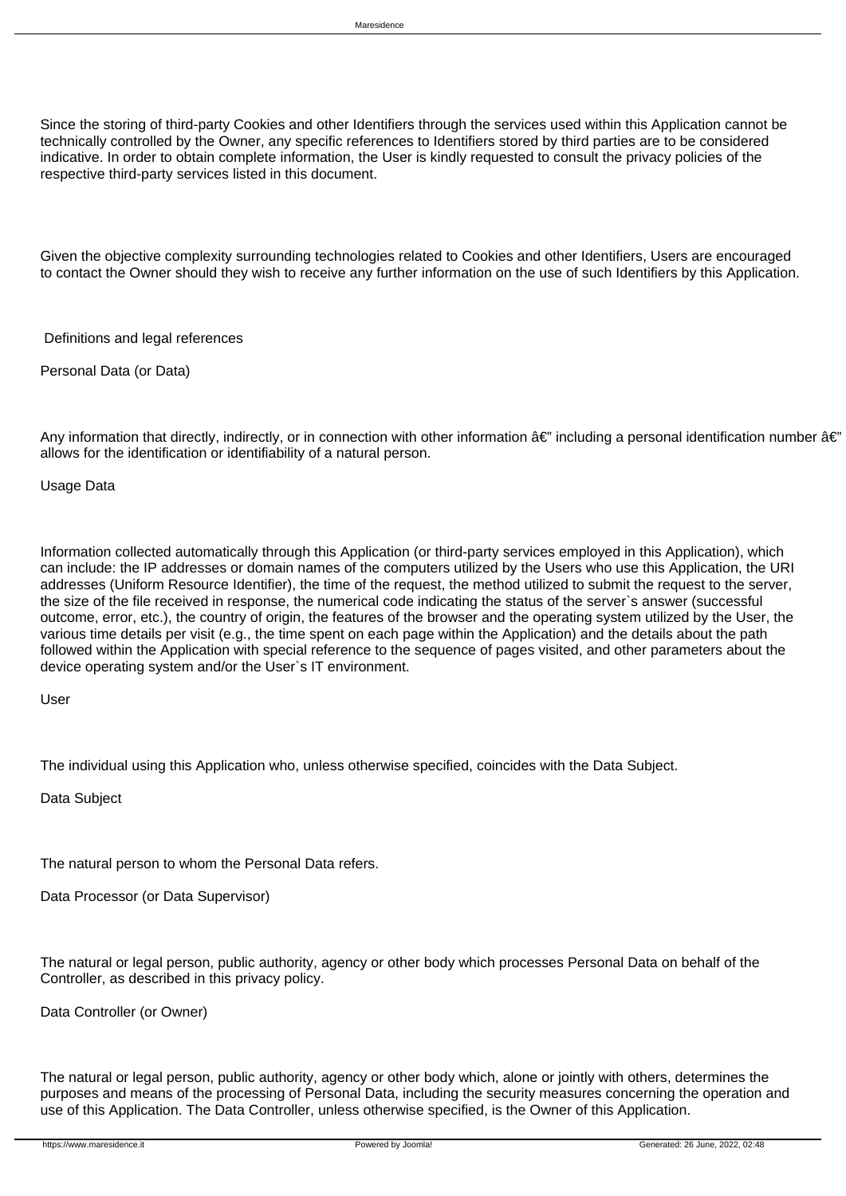Since the storing of third-party Cookies and other Identifiers through the services used within this Application cannot be technically controlled by the Owner, any specific references to Identifiers stored by third parties are to be considered indicative. In order to obtain complete information, the User is kindly requested to consult the privacy policies of the respective third-party services listed in this document.

Given the objective complexity surrounding technologies related to Cookies and other Identifiers, Users are encouraged to contact the Owner should they wish to receive any further information on the use of such Identifiers by this Application.

Definitions and legal references

Personal Data (or Data)

Any information that directly, indirectly, or in connection with other information  $\hat{a}\in$ " including a personal identification number  $\hat{a}\in$ " allows for the identification or identifiability of a natural person.

Usage Data

Information collected automatically through this Application (or third-party services employed in this Application), which can include: the IP addresses or domain names of the computers utilized by the Users who use this Application, the URI addresses (Uniform Resource Identifier), the time of the request, the method utilized to submit the request to the server, the size of the file received in response, the numerical code indicating the status of the server`s answer (successful outcome, error, etc.), the country of origin, the features of the browser and the operating system utilized by the User, the various time details per visit (e.g., the time spent on each page within the Application) and the details about the path followed within the Application with special reference to the sequence of pages visited, and other parameters about the device operating system and/or the User`s IT environment.

User

The individual using this Application who, unless otherwise specified, coincides with the Data Subject.

Data Subject

The natural person to whom the Personal Data refers.

Data Processor (or Data Supervisor)

The natural or legal person, public authority, agency or other body which processes Personal Data on behalf of the Controller, as described in this privacy policy.

Data Controller (or Owner)

The natural or legal person, public authority, agency or other body which, alone or jointly with others, determines the purposes and means of the processing of Personal Data, including the security measures concerning the operation and use of this Application. The Data Controller, unless otherwise specified, is the Owner of this Application.